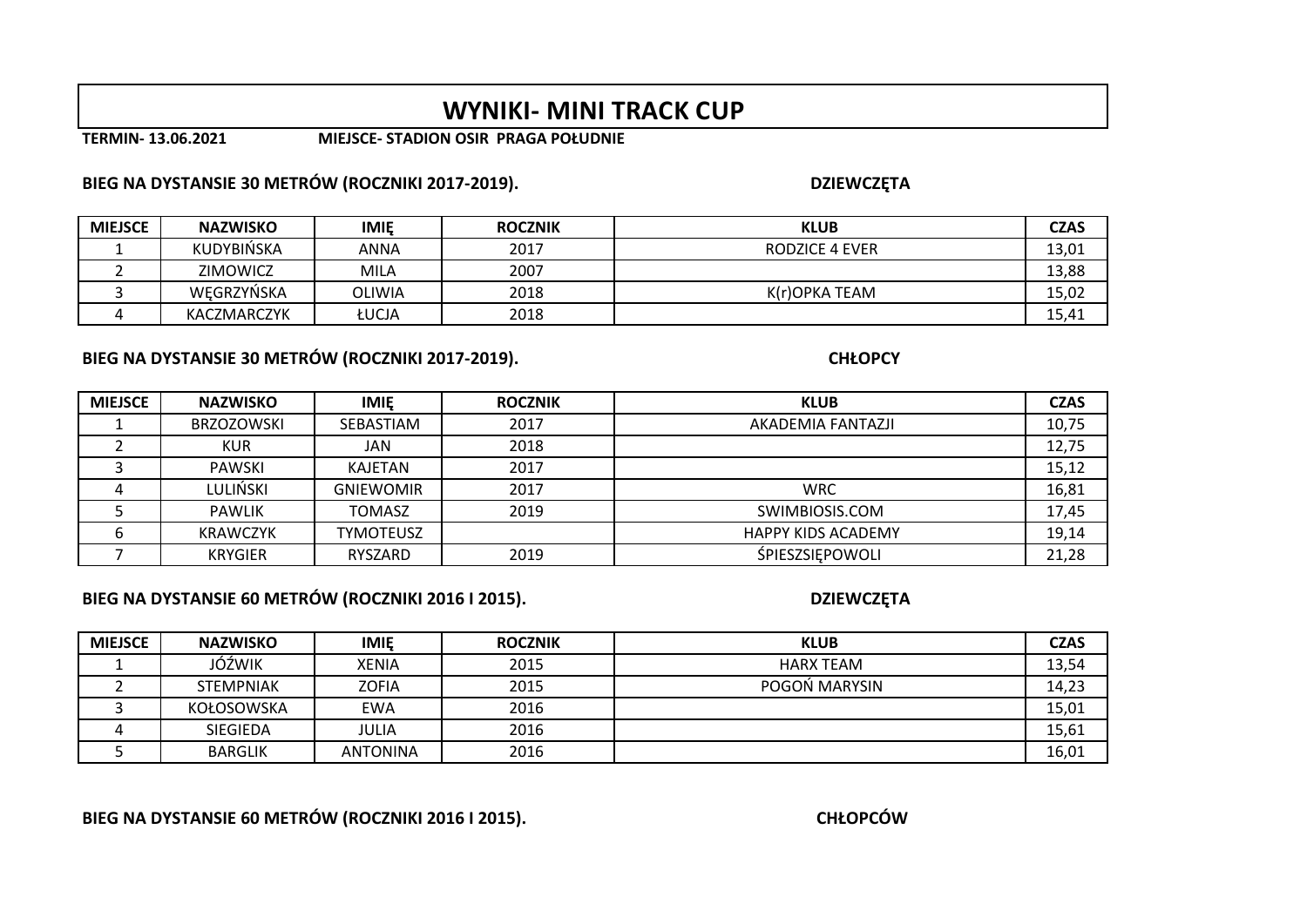# **WYNIKI- MINI TRACK CUP**

**TERMIN- 13.06.2021 MIEJSCE- STADION OSIR PRAGA POŁUDNIE**

### **BIEG NA DYSTANSIE 30 METRÓW (ROCZNIKI 2017-2019).**

| <b>MIEJSCE</b> | <b>NAZWISKO</b>   | <b>IMIE</b> | <b>ROCZNIK</b> | <b>KLUB</b>    | <b>CZAS</b> |
|----------------|-------------------|-------------|----------------|----------------|-------------|
|                | <b>KUDYBIŃSKA</b> | ANNA        | 2017           | RODZICE 4 EVER | 13,01       |
|                | <b>ZIMOWICZ</b>   | MILA        | 2007           |                | 13,88       |
|                | WEGRZYŃSKA        | OLIWIA      | 2018           | K(r)OPKA TEAM  | 15,02       |
|                | KACZMARCZYK       | ŁUCJA       | 2018           |                | 15,41       |

### **BIEG NA DYSTANSIE 30 METRÓW (ROCZNIKI 2017-2019).**

| <b>MIEJSCE</b> | <b>NAZWISKO</b>   | <b>IMIE</b>      | <b>ROCZNIK</b> | <b>KLUB</b>               | <b>CZAS</b> |
|----------------|-------------------|------------------|----------------|---------------------------|-------------|
|                | <b>BRZOZOWSKI</b> | SEBASTIAM        | 2017           | AKADEMIA FANTAZJI         | 10,75       |
|                | <b>KUR</b>        | JAN              | 2018           |                           | 12,75       |
|                | PAWSKI            | KAJETAN          | 2017           |                           | 15,12       |
|                | LULIŃSKI          | <b>GNIEWOMIR</b> | 2017           | <b>WRC</b>                | 16,81       |
|                | <b>PAWLIK</b>     | <b>TOMASZ</b>    | 2019           | SWIMBIOSIS.COM            | 17,45       |
|                | KRAWCZYK          | <b>TYMOTEUSZ</b> |                | <b>HAPPY KIDS ACADEMY</b> | 19,14       |
|                | <b>KRYGIER</b>    | RYSZARD          | 2019           | <b>SPIESZSIEPOWOLI</b>    | 21,28       |

### **BIEG NA DYSTANSIE 60 METRÓW (ROCZNIKI 2016 I 2015).**

**DZIEWCZĘTA**

| <b>MIEJSCE</b> | <b>NAZWISKO</b>  | <b>IMIE</b>     | <b>ROCZNIK</b> | <b>KLUB</b>   | <b>CZAS</b> |
|----------------|------------------|-----------------|----------------|---------------|-------------|
|                | JÓŹWIK           | <b>XENIA</b>    | 2015           | HARX TEAM     | 13,54       |
|                | <b>STEMPNIAK</b> | ZOFIA           | 2015           | POGON MARYSIN | 14,23       |
|                | KOŁOSOWSKA       | EWA             | 2016           |               | 15,01       |
|                | SIEGIEDA         | JULIA           | 2016           |               | 15,61       |
|                | <b>BARGLIK</b>   | <b>ANTONINA</b> | 2016           |               | 16,01       |

### **BIEG NA DYSTANSIE 60 METRÓW (ROCZNIKI 2016 I 2015).**

**CHŁOPCÓW**

#### **DZIEWCZĘTA**

 **CHŁOPCY**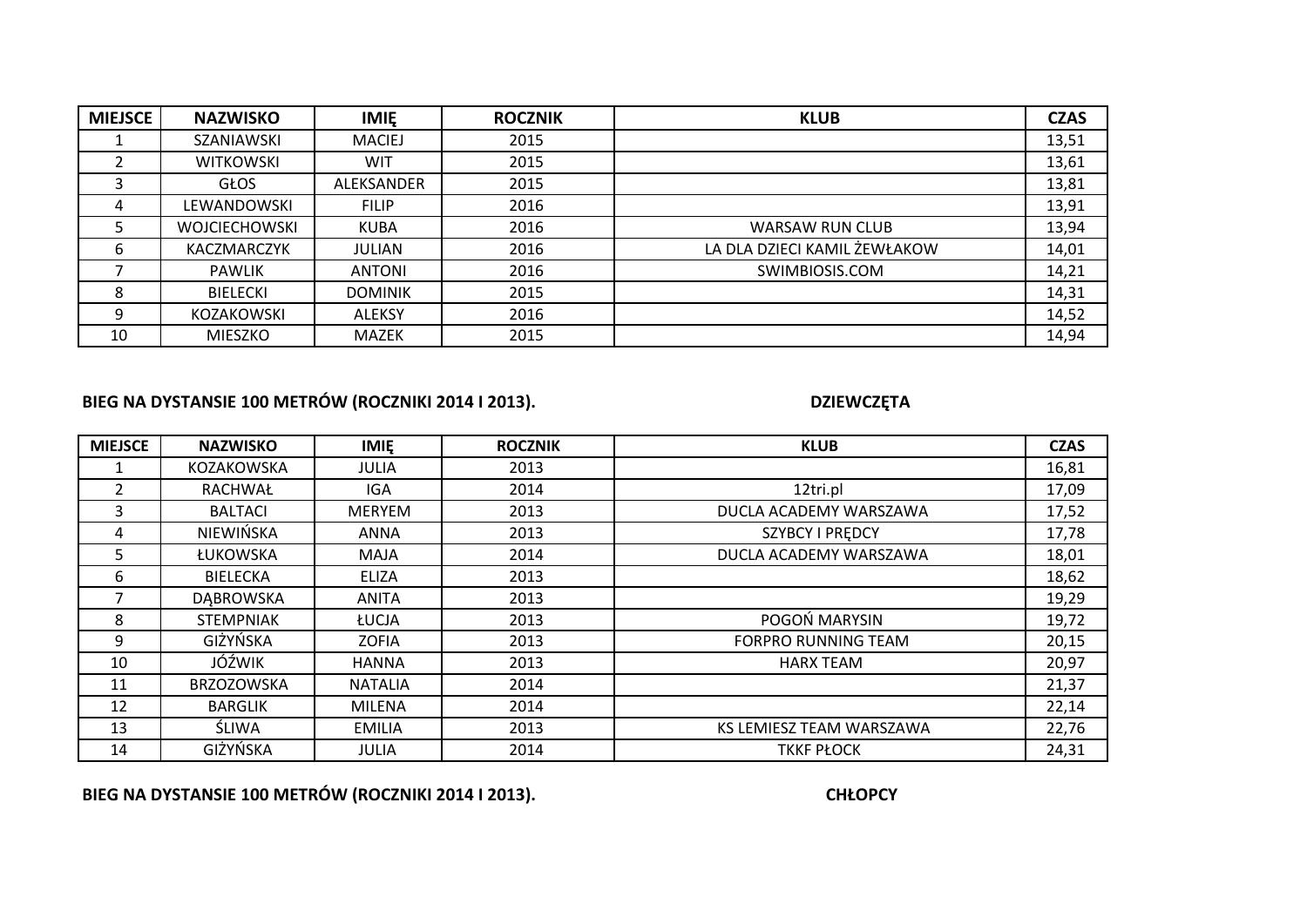| <b>MIEJSCE</b> | <b>NAZWISKO</b>      | <b>IMIE</b>    | <b>ROCZNIK</b> | <b>KLUB</b>                  | <b>CZAS</b> |
|----------------|----------------------|----------------|----------------|------------------------------|-------------|
|                | SZANIAWSKI           | <b>MACIEJ</b>  | 2015           |                              | 13,51       |
|                | <b>WITKOWSKI</b>     | WIT            | 2015           |                              | 13,61       |
|                | <b>GŁOS</b>          | ALEKSANDER     | 2015           |                              | 13,81       |
|                | LEWANDOWSKI          | <b>FILIP</b>   | 2016           |                              | 13,91       |
|                | <b>WOJCIECHOWSKI</b> | <b>KUBA</b>    | 2016           | <b>WARSAW RUN CLUB</b>       | 13,94       |
| b              | KACZMARCZYK          | <b>JULIAN</b>  | 2016           | LA DLA DZIECI KAMIL ŻEWŁAKOW | 14,01       |
|                | <b>PAWLIK</b>        | <b>ANTONI</b>  | 2016           | SWIMBIOSIS.COM               | 14,21       |
| 8              | <b>BIELECKI</b>      | <b>DOMINIK</b> | 2015           |                              | 14,31       |
| 9              | KOZAKOWSKI           | <b>ALEKSY</b>  | 2016           |                              | 14,52       |
| 10             | <b>MIESZKO</b>       | <b>MAZEK</b>   | 2015           |                              | 14,94       |

# **BIEG NA DYSTANSIE 100 METRÓW (ROCZNIKI 2014 I 2013).**

**DZIEWCZĘTA**

| <b>MIEJSCE</b> | <b>NAZWISKO</b>   | <b>IMIE</b>    | <b>ROCZNIK</b> | <b>KLUB</b>                | <b>CZAS</b> |
|----------------|-------------------|----------------|----------------|----------------------------|-------------|
|                | KOZAKOWSKA        | <b>JULIA</b>   | 2013           |                            | 16,81       |
| $\overline{2}$ | RACHWAŁ           | IGA.           | 2014           | 12tri.pl                   | 17,09       |
| 3              | <b>BALTACI</b>    | <b>MERYEM</b>  | 2013           | DUCLA ACADEMY WARSZAWA     | 17,52       |
| 4              | NIEWIŃSKA         | ANNA           | 2013           | <b>SZYBCY I PREDCY</b>     | 17,78       |
| 5              | ŁUKOWSKA          | MAJA           | 2014           | DUCLA ACADEMY WARSZAWA     | 18,01       |
| 6              | <b>BIELECKA</b>   | <b>ELIZA</b>   | 2013           |                            | 18,62       |
|                | DĄBROWSKA         | ANITA          | 2013           |                            | 19,29       |
| 8              | STEMPNIAK         | ŁUCJA          | 2013           | POGOŃ MARYSIN              | 19,72       |
| 9              | GIŻYŃSKA          | <b>ZOFIA</b>   | 2013           | <b>FORPRO RUNNING TEAM</b> | 20,15       |
| 10             | JÓŹWIK            | <b>HANNA</b>   | 2013           | <b>HARX TEAM</b>           | 20,97       |
| 11             | <b>BRZOZOWSKA</b> | <b>NATALIA</b> | 2014           |                            | 21,37       |
| 12             | <b>BARGLIK</b>    | MILENA         | 2014           |                            | 22,14       |
| 13             | ŚLIWA             | <b>EMILIA</b>  | 2013           | KS LEMIESZ TEAM WARSZAWA   | 22,76       |
| 14             | GIŻYŃSKA          | <b>JULIA</b>   | 2014           | <b>TKKF PŁOCK</b>          | 24,31       |

**BIEG NA DYSTANSIE 100 METRÓW (ROCZNIKI 2014 I 2013).**

**CHŁOPCY**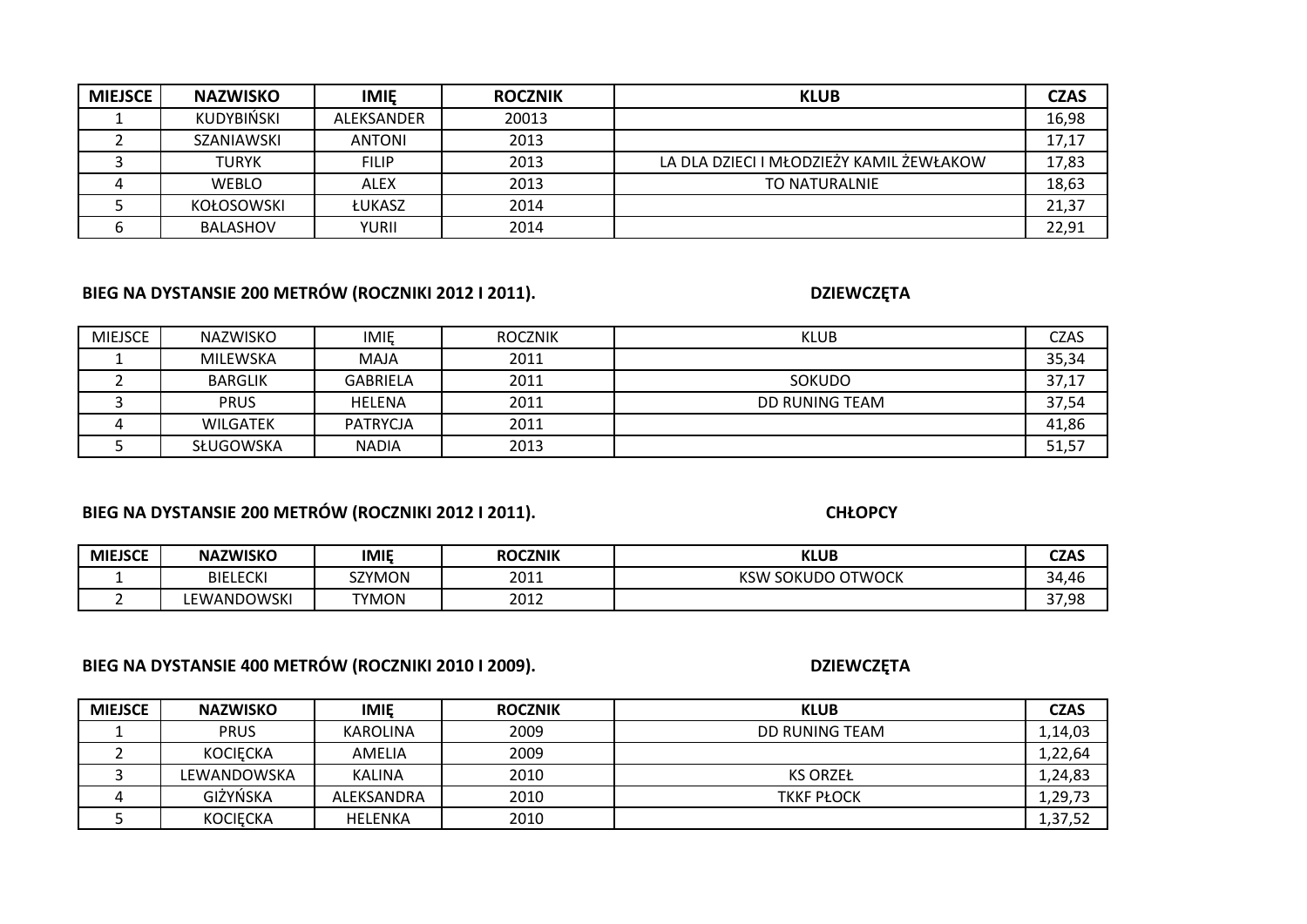| <b>MIEJSCE</b> | <b>NAZWISKO</b>   | <b>IMIE</b>   | <b>ROCZNIK</b> | <b>KLUB</b>                              | <b>CZAS</b> |
|----------------|-------------------|---------------|----------------|------------------------------------------|-------------|
|                | KUDYBIŃSKI        | ALEKSANDER    | 20013          |                                          | 16,98       |
|                | SZANIAWSKI        | <b>ANTONI</b> | 2013           |                                          | 17,17       |
|                | TURYK             | <b>FILIP</b>  | 2013           | LA DLA DZIECI I MŁODZIEŻY KAMIL ŻEWŁAKOW | 17,83       |
|                | <b>WEBLO</b>      | ALEX          | 2013           | TO NATURALNIE                            | 18,63       |
|                | <b>KOŁOSOWSKI</b> | <b>ŁUKASZ</b> | 2014           |                                          | 21,37       |
|                | <b>BALASHOV</b>   | YURII         | 2014           |                                          | 22,91       |

# **BIEG NA DYSTANSIE 200 METRÓW (ROCZNIKI 2012 I 2011).**

**DZIEWCZĘTA**

| MIEJSCE | NAZWISKO        | IMIE            | <b>ROCZNIK</b> | <b>KLUB</b>    | <b>CZAS</b> |
|---------|-----------------|-----------------|----------------|----------------|-------------|
|         | MILEWSKA        | MAJA            | 2011           |                | 35,34       |
|         | <b>BARGLIK</b>  | <b>GABRIELA</b> | 2011           | <b>SOKUDO</b>  | 37,17       |
|         | <b>PRUS</b>     | HELENA          | 2011           | DD RUNING TEAM | 37,54       |
|         | <b>WILGATEK</b> | PATRYCJA        | 2011           |                | 41,86       |
|         | SŁUGOWSKA       | <b>NADIA</b>    | 2013           |                | 51,57       |

# **BIEG NA DYSTANSIE 200 METRÓW (ROCZNIKI 2012 I 2011).**

**CHŁOPCY**

| <b>MIEJSCE</b> | <b>NAZWISKO</b>      | <b>IMIE</b>  | <b>ROCZNIK</b> | <b>KLUB</b>            | <b>CZAS</b> |
|----------------|----------------------|--------------|----------------|------------------------|-------------|
|                | <b>ECKI</b><br>BIELI | SZYMON       | 2011           | ' SOKUDO OTWOCK<br>KSW | 34,46       |
|                | <b>EWANDOWSKI</b>    | <b>TYMON</b> | 2012           |                        | 37,98       |

# **BIEG NA DYSTANSIE 400 METRÓW (ROCZNIKI 2010 I 2009).**

| <b>DZIEWCZĘTA</b> |  |
|-------------------|--|
|-------------------|--|

| <b>MIEJSCE</b> | <b>NAZWISKO</b> | <b>IMIE</b>   | <b>ROCZNIK</b> | <b>KLUB</b>       | <b>CZAS</b> |
|----------------|-----------------|---------------|----------------|-------------------|-------------|
|                | <b>PRUS</b>     | KAROLINA      | 2009           | DD RUNING TEAM    | 1,14,03     |
|                | <b>KOCIECKA</b> | AMELIA        | 2009           |                   | 1,22,64     |
|                | LEWANDOWSKA     | <b>KALINA</b> | 2010           | <b>KS ORZEŁ</b>   | 1,24,83     |
|                | GIŻYŃSKA        | ALEKSANDRA    | 2010           | <b>TKKF PŁOCK</b> | 1,29,73     |
|                | <b>KOCIECKA</b> | HELENKA       | 2010           |                   | 1,37,52     |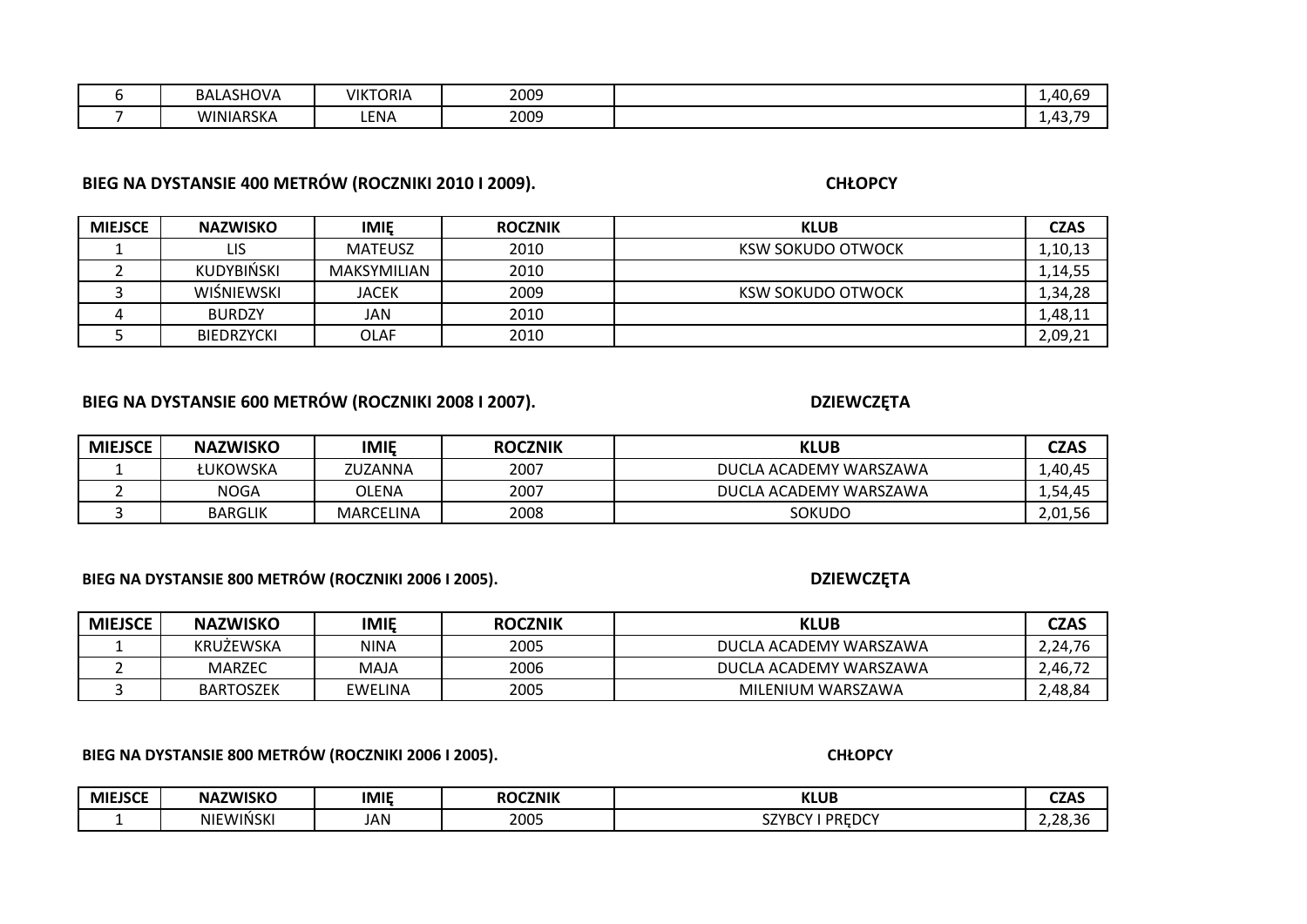| BALASHOVA | <b>VIKTORIA</b> | 2009 | $\Delta$ $\cap$<br>rv.v<br>. . |
|-----------|-----------------|------|--------------------------------|
| WINIARSKA | LENA            | 2009 | - 42<br>TJ                     |

# **BIEG NA DYSTANSIE 400 METRÓW (ROCZNIKI 2010 I 2009).**

**CHŁOPCY**

| <b>MIEJSCE</b> | <b>NAZWISKO</b>   | <b>IMIE</b>    | <b>ROCZNIK</b> | <b>KLUB</b>       | <b>CZAS</b> |
|----------------|-------------------|----------------|----------------|-------------------|-------------|
|                | LIS               | <b>MATEUSZ</b> | 2010           | KSW SOKUDO OTWOCK | 1,10,13     |
|                | <b>KUDYBIŃSKI</b> | MAKSYMILIAN    | 2010           |                   | 1,14,55     |
|                | WISNIEWSKI        | <b>JACEK</b>   | 2009           | KSW SOKUDO OTWOCK | 1,34,28     |
|                | <b>BURDZY</b>     | JAN            | 2010           |                   | 1,48,11     |
|                | <b>BIEDRZYCKI</b> | OLAF           | 2010           |                   | 2,09,21     |

### **BIEG NA DYSTANSIE 600 METRÓW (ROCZNIKI 2008 I 2007).**

**DZIEWCZĘTA**

| <b>MIEJSCE</b> | <b>NAZWISKO</b> | <b>IMIE</b>      | <b>ROCZNIK</b> | <b>KLUB</b>            | <b>CZAS</b> |
|----------------|-----------------|------------------|----------------|------------------------|-------------|
|                | ŁUKOWSKA        | ZUZANNA          | 2007           | DUCLA ACADEMY WARSZAWA | 1,40,45     |
|                | NOGA            | OLENA            | 2007           | DUCLA ACADEMY WARSZAWA | 1,54,45     |
|                | <b>BARGLIK</b>  | <b>MARCELINA</b> | 2008           | <b>SOKUDO</b>          | 2,01,56     |

**BIEG NA DYSTANSIE 800 METRÓW (ROCZNIKI 2006 I 2005).**

### **DZIEWCZĘTA**

**CHŁOPCY**

| <b>MIEJSCE</b> | <b>NAZWISKO</b>  | <b>IMIE</b> | <b>ROCZNIK</b> | KLUB                   | <b>CZAS</b> |
|----------------|------------------|-------------|----------------|------------------------|-------------|
|                | <b>KRUZEWSKA</b> | <b>NINA</b> | 2005           | DUCLA ACADEMY WARSZAWA | 2,24,76     |
|                | MARZEC           | MAJA        | 2006           | DUCLA ACADEMY WARSZAWA | 2,46,72     |
|                | <b>BARTOSZEK</b> | EWELINA     | 2005           | MILENIUM WARSZAWA      | ∠,48,84     |

#### **BIEG NA DYSTANSIE 800 METRÓW (ROCZNIKI 2006 I 2005).**

| MIEJSCE | <b>NAZWISKO</b>             | <b>IMIE</b> | <b>ROCZNIK</b> | <b>KLUB</b>        | <b>CZAS</b><br>--- |
|---------|-----------------------------|-------------|----------------|--------------------|--------------------|
|         | EWIŃSKI<br>NIE <sub>1</sub> | JAN         | 2005           | PREDCY<br>7V<br>JZ | 20.25<br>…zo.sr    |